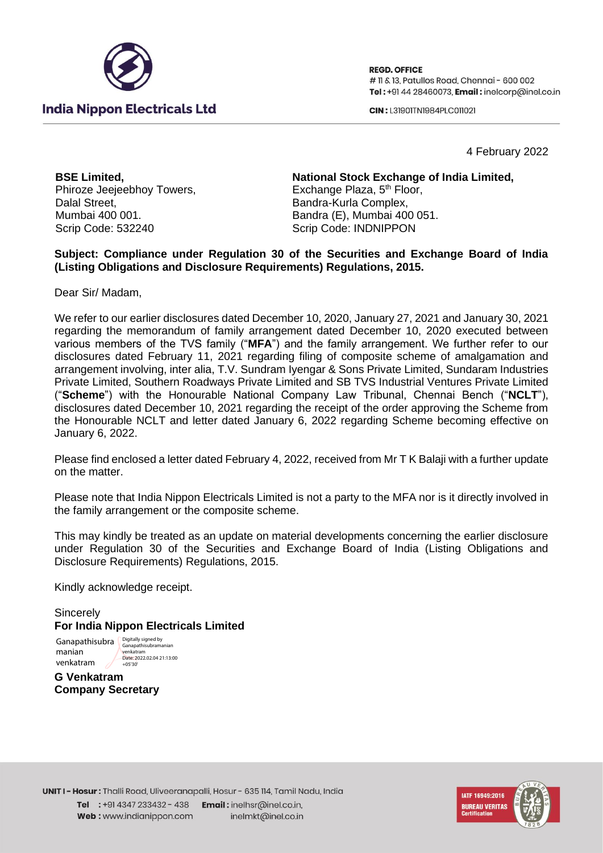

**REGD. OFFICE** # 11 & 13, Patullos Road, Chennai - 600 002 Tel: +91 44 28460073. Email: inelcorp@inel.co.in

**CIN: 131901TN1984PLC011021** 

4 February 2022

**BSE Limited,** Phiroze Jeejeebhoy Towers, Dalal Street, Mumbai 400 001. Scrip Code: 532240

**National Stock Exchange of India Limited,** Exchange Plaza, 5<sup>th</sup> Floor, Bandra-Kurla Complex, Bandra (E), Mumbai 400 051. Scrip Code: INDNIPPON

## **Subject: Compliance under Regulation 30 of the Securities and Exchange Board of India (Listing Obligations and Disclosure Requirements) Regulations, 2015.**

Dear Sir/ Madam,

We refer to our earlier disclosures dated December 10, 2020, January 27, 2021 and January 30, 2021 regarding the memorandum of family arrangement dated December 10, 2020 executed between various members of the TVS family ("**MFA**") and the family arrangement. We further refer to our disclosures dated February 11, 2021 regarding filing of composite scheme of amalgamation and arrangement involving, inter alia, T.V. Sundram Iyengar & Sons Private Limited, Sundaram Industries Private Limited, Southern Roadways Private Limited and SB TVS Industrial Ventures Private Limited ("**Scheme**") with the Honourable National Company Law Tribunal, Chennai Bench ("**NCLT**"), disclosures dated December 10, 2021 regarding the receipt of the order approving the Scheme from the Honourable NCLT and letter dated January 6, 2022 regarding Scheme becoming effective on January 6, 2022.

Please find enclosed a letter dated February 4, 2022, received from Mr T K Balaji with a further update on the matter.

Please note that India Nippon Electricals Limited is not a party to the MFA nor is it directly involved in the family arrangement or the composite scheme.

This may kindly be treated as an update on material developments concerning the earlier disclosure under Regulation 30 of the Securities and Exchange Board of India (Listing Obligations and Disclosure Requirements) Regulations, 2015.

Kindly acknowledge receipt.

**Sincerely For India Nippon Electricals Limited** 

Ganapathisubra **Digitally signed by** manian venkatram Ganapathisubramanian venkatram Date: 2022.02.04 21:13:00  $+05'30'$ 

**G Venkatram Company Secretary**

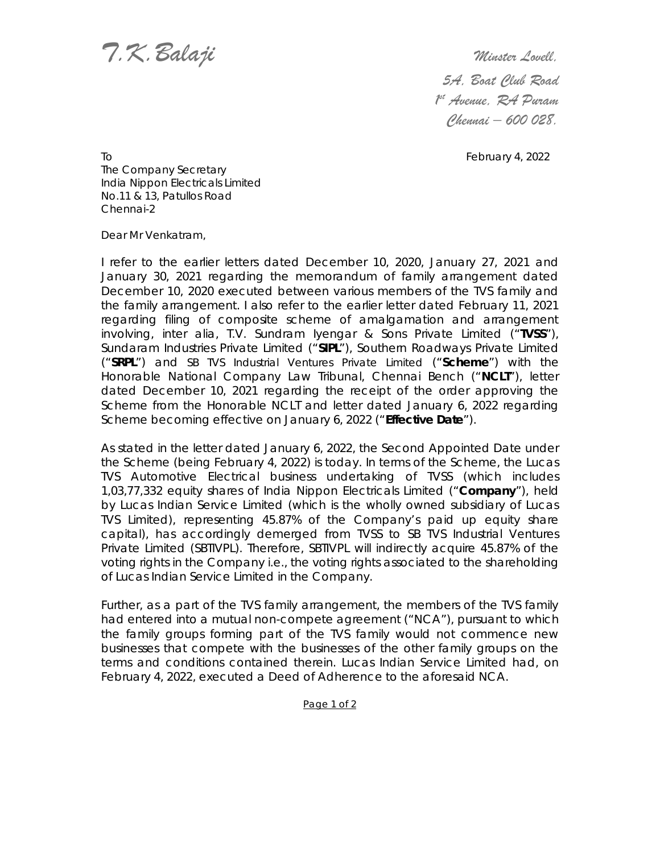*T.K.Balaji Minster Lovell,*

 *5A, Boat Club Road 1st Avenue, RA Puram Chennai – 600 028.* 

To **February 4, 2022** The Company Secretary India Nippon Electricals Limited No.11 & 13, Patullos Road Chennai-2

Dear Mr Venkatram,

I refer to the earlier letters dated December 10, 2020, January 27, 2021 and January 30, 2021 regarding the memorandum of family arrangement dated December 10, 2020 executed between various members of the TVS family and the family arrangement. I also refer to the earlier letter dated February 11, 2021 regarding filing of composite scheme of amalgamation and arrangement involving, inter alia, T.V. Sundram Iyengar & Sons Private Limited ("**TVSS**"), Sundaram Industries Private Limited ("**SIPL**"), Southern Roadways Private Limited ("**SRPL**") and SB TVS Industrial Ventures Private Limited ("**Scheme**") with the Honorable National Company Law Tribunal, Chennai Bench ("**NCLT**"), letter dated December 10, 2021 regarding the receipt of the order approving the Scheme from the Honorable NCLT and letter dated January 6, 2022 regarding Scheme becoming effective on January 6, 2022 ("**Effective Date**").

As stated in the letter dated January 6, 2022, the Second Appointed Date under the Scheme (being February 4, 2022) is today. In terms of the Scheme, the Lucas TVS Automotive Electrical business undertaking of TVSS (which includes 1,03,77,332 equity shares of India Nippon Electricals Limited ("**Company**"), held by Lucas Indian Service Limited (which is the wholly owned subsidiary of Lucas TVS Limited), representing 45.87% of the Company's paid up equity share capital), has accordingly demerged from TVSS to SB TVS Industrial Ventures Private Limited (SBTIVPL). Therefore, SBTIVPL will indirectly acquire 45.87% of the voting rights in the Company i.e., the voting rights associated to the shareholding of Lucas Indian Service Limited in the Company.

Further, as a part of the TVS family arrangement, the members of the TVS family had entered into a mutual non-compete agreement ("NCA"), pursuant to which the family groups forming part of the TVS family would not commence new businesses that compete with the businesses of the other family groups on the terms and conditions contained therein. Lucas Indian Service Limited had, on February 4, 2022, executed a Deed of Adherence to the aforesaid NCA.

Page 1 of 2